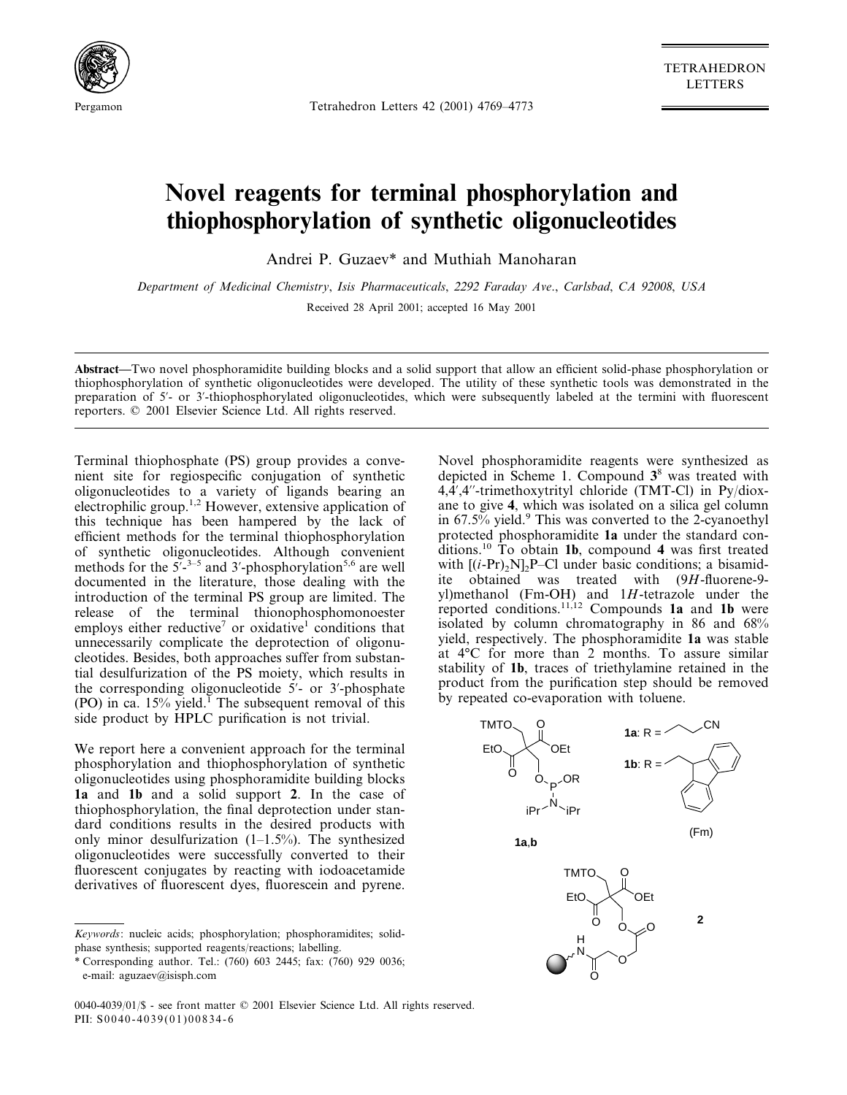

Pergamon Tetrahedron Letters 42 (2001) 4769–4773

TETRAHEDRON LETTERS

## **Novel reagents for terminal phosphorylation and thiophosphorylation of synthetic oligonucleotides**

Andrei P. Guzaev\* and Muthiah Manoharan

*Department of Medicinal Chemistry*, *Isis Pharmaceuticals*, 2292 *Faraday Ave*., *Carlsbad*, *CA* 92008, *USA* Received 28 April 2001; accepted 16 May 2001

**Abstract—**Two novel phosphoramidite building blocks and a solid support that allow an efficient solid-phase phosphorylation or thiophosphorylation of synthetic oligonucleotides were developed. The utility of these synthetic tools was demonstrated in the preparation of 5'- or 3'-thiophosphorylated oligonucleotides, which were subsequently labeled at the termini with fluorescent reporters. © 2001 Elsevier Science Ltd. All rights reserved.

Terminal thiophosphate (PS) group provides a convenient site for regiospecific conjugation of synthetic oligonucleotides to a variety of ligands bearing an electrophilic group.1,2 However, extensive application of this technique has been hampered by the lack of efficient methods for the terminal thiophosphorylation of synthetic oligonucleotides. Although convenient methods for the  $5^7-3-5$  and 3'-phosphorylation<sup>5,6</sup> are well documented in the literature, those dealing with the introduction of the terminal PS group are limited. The release of the terminal thionophosphomonoester employs either reductive<sup>7</sup> or oxidative<sup>1</sup> conditions that unnecessarily complicate the deprotection of oligonucleotides. Besides, both approaches suffer from substantial desulfurization of the PS moiety, which results in the corresponding oligonucleotide 5'- or 3'-phosphate (PO) in ca.  $15\%$  yield.<sup>1</sup> The subsequent removal of this side product by HPLC purification is not trivial.

We report here a convenient approach for the terminal phosphorylation and thiophosphorylation of synthetic oligonucleotides using phosphoramidite building blocks **1a** and **1b** and a solid support **2**. In the case of thiophosphorylation, the final deprotection under standard conditions results in the desired products with only minor desulfurization  $(1-1.5\%)$ . The synthesized oligonucleotides were successfully converted to their fluorescent conjugates by reacting with iodoacetamide derivatives of fluorescent dyes, fluorescein and pyrene.

0040-4039/01/\$ - see front matter © 2001 Elsevier Science Ltd. All rights reserved. PII:  $S0040 - 4039(01)00834 - 6$ 

Novel phosphoramidite reagents were synthesized as depicted in Scheme 1. Compound **3**<sup>8</sup> was treated with  $4,\frac{1}{4}$ ,4"-trimethoxytrityl chloride (TMT-Cl) in Py/dioxane to give **4**, which was isolated on a silica gel column in  $67.5\%$  yield.<sup>9</sup> This was converted to the 2-cyanoethyl protected phosphoramidite **1a** under the standard conditions.10 To obtain **1b**, compound **4** was first treated with  $[(i-Pr)_2N]_2P$ –Cl under basic conditions; a bisamidite obtained was treated with (9*H*-fluorene-9 yl)methanol (Fm-OH) and 1*H*-tetrazole under the reported conditions.11,12 Compounds **1a** and **1b** were isolated by column chromatography in 86 and 68% yield, respectively. The phosphoramidite **1a** was stable at 4°C for more than 2 months. To assure similar stability of **1b**, traces of triethylamine retained in the product from the purification step should be removed by repeated co-evaporation with toluene.



*Keywords*: nucleic acids; phosphorylation; phosphoramidites; solidphase synthesis; supported reagents/reactions; labelling.

<sup>\*</sup> Corresponding author. Tel.: (760) 603 2445; fax: (760) 929 0036; e-mail: aguzaev@isisph.com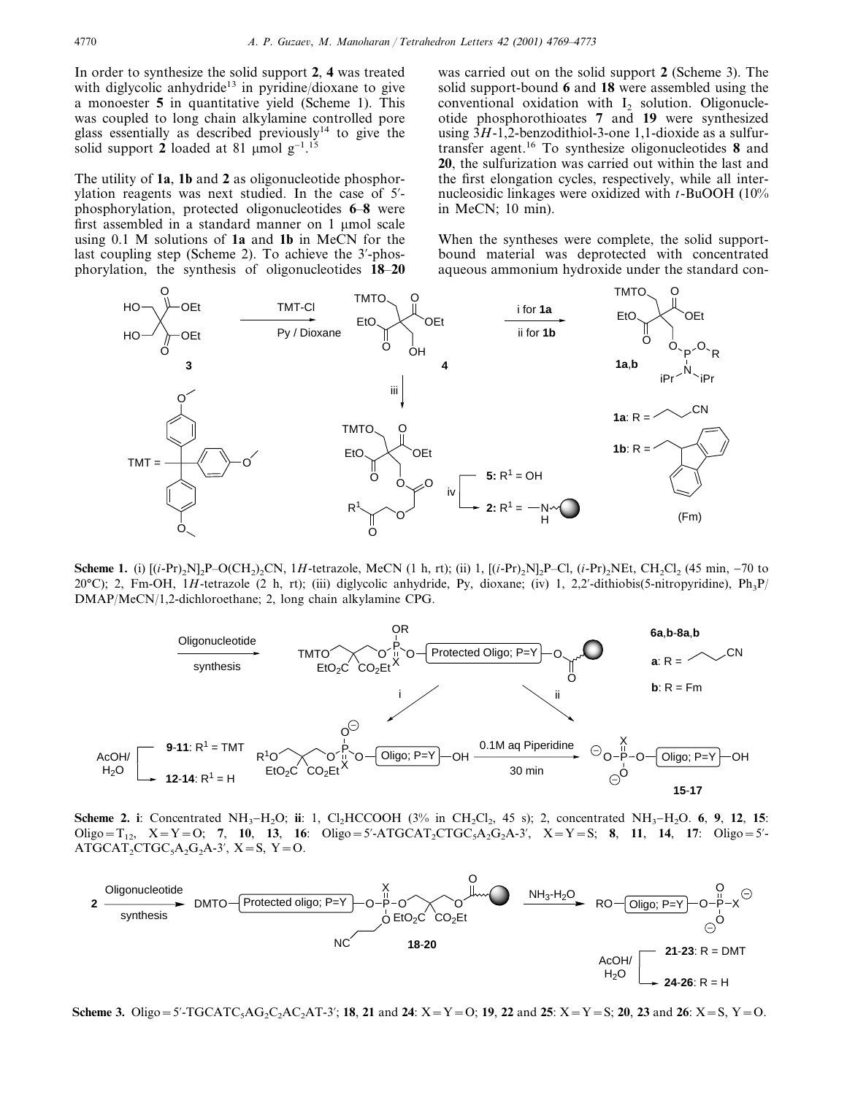In order to synthesize the solid support **2**, **4** was treated with diglycolic anhydride<sup>13</sup> in pyridine/dioxane to give a monoester **5** in quantitative yield (Scheme 1). This was coupled to long chain alkylamine controlled pore glass essentially as described previously<sup>14</sup> to give the solid support 2 loaded at 81 µmol  $g^{-1}$ .<sup>15</sup>

The utility of **1a**, **1b** and **2** as oligonucleotide phosphorylation reagents was next studied. In the case of 5 phosphorylation, protected oligonucleotides **6**–**8** were first assembled in a standard manner on 1 µmol scale using 0.1 M solutions of **1a** and **1b** in MeCN for the last coupling step (Scheme 2). To achieve the 3-phosphorylation, the synthesis of oligonucleotides **18**–**20**

was carried out on the solid support **2** (Scheme 3). The solid support-bound **6** and **18** were assembled using the conventional oxidation with  $I_2$  solution. Oligonucleotide phosphorothioates **7** and **19** were synthesized using 3*H*-1,2-benzodithiol-3-one 1,1-dioxide as a sulfurtransfer agent.16 To synthesize oligonucleotides **8** and **20**, the sulfurization was carried out within the last and the first elongation cycles, respectively, while all internucleosidic linkages were oxidized with *t*-BuOOH (10% in MeCN; 10 min).

When the syntheses were complete, the solid supportbound material was deprotected with concentrated aqueous ammonium hydroxide under the standard con-



**Scheme 1.** (i)  $[(i-Pr)_{2}N]_{2}P-O(CH_{2})_{2}CN$ , 1*H*-tetrazole, MeCN (1 h, rt); (ii) 1,  $[(i-Pr)_{2}N]_{2}P-CI$ ,  $(i-Pr)_{2}NEt$ , CH<sub>2</sub>Cl<sub>2</sub> (45 min, -70 to 20°C); 2, Fm-OH, 1*H*-tetrazole (2 h, rt); (iii) diglycolic anhydride, Py, dioxane; (iv) 1, 2,2'-dithiobis(5-nitropyridine), Ph<sub>3</sub>P/ DMAP/MeCN/1,2-dichloroethane; 2, long chain alkylamine CPG.



**Scheme 2. i**: Concentrated NH<sub>3</sub>−H<sub>2</sub>O; **ii**: 1, Cl<sub>2</sub>HCCOOH (3% in CH<sub>2</sub>Cl<sub>2</sub>, 45 s); 2, concentrated NH<sub>3</sub>−H<sub>2</sub>O. **6**, **9**, **12**, **15**:  $Oligo = T_{12}$ ,  $X = Y = O$ ; **7**, **10**, **13**, **16**:  $Oligo = 5'$ -ATGCAT<sub>2</sub>CTGC<sub>5</sub>A<sub>2</sub>G<sub>2</sub>A-3',  $X = Y = S$ ; **8**, **11**, **14**, **17**:  $Oligo = 5'$ - $ATGCAT_2CTGC_5A_2G_2A-3', X=S, Y=O.$ 



**Scheme 3.** Oligo=5'-TGCATC<sub>3</sub>AG<sub>2</sub>C<sub>2</sub>AC<sub>2</sub>AT-3'; **18**, **21** and **24**:  $X = Y = 0$ ; **19**, **22** and **25**:  $X = Y = S$ ; **20**, **23** and **26**:  $X = S$ ,  $Y = 0$ .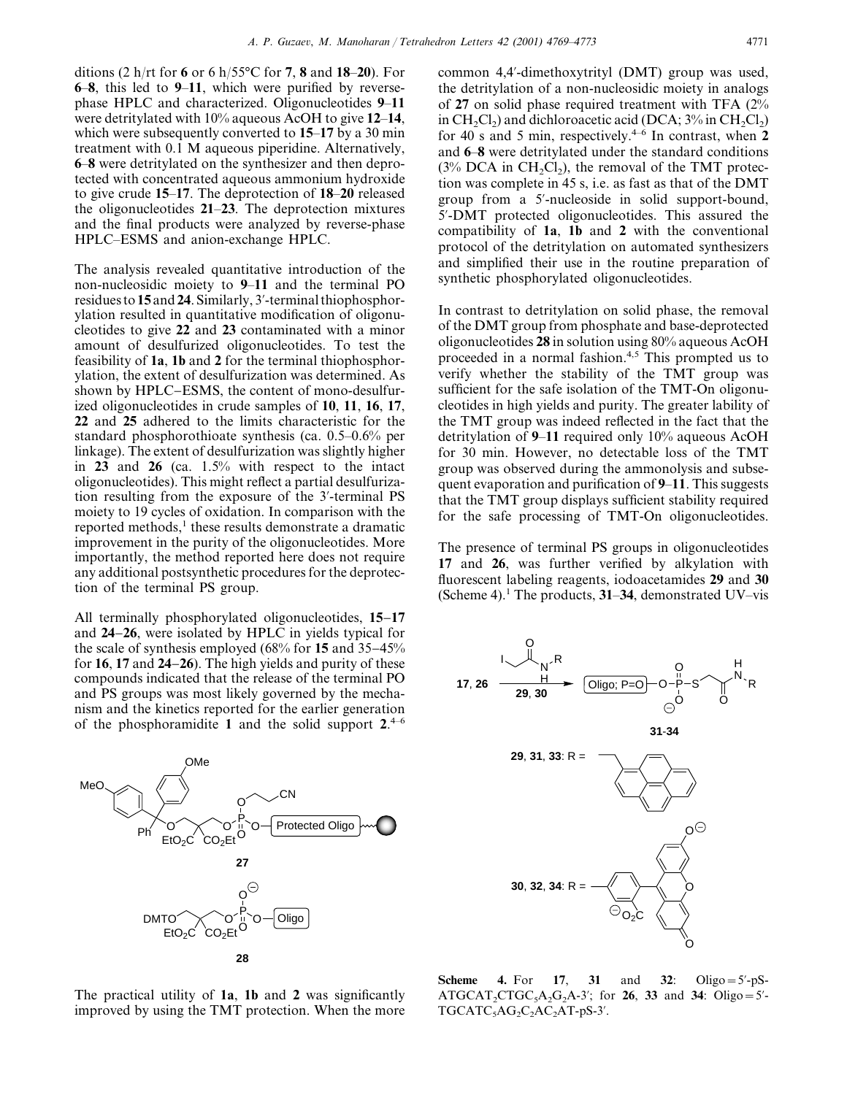ditions (2 h/rt for **6** or 6 h/55°C for **7**, **8** and **18**–**20**). For **6**–**8**, this led to **9**–**11**, which were purified by reversephase HPLC and characterized. Oligonucleotides **9**–**11** were detritylated with 10% aqueous AcOH to give **12**–**14**, which were subsequently converted to **15**–**17** by a 30 min treatment with 0.1 M aqueous piperidine. Alternatively, **6**–**8** were detritylated on the synthesizer and then deprotected with concentrated aqueous ammonium hydroxide to give crude **15**–**17**. The deprotection of **18**–**20** released the oligonucleotides **21**–**23**. The deprotection mixtures and the final products were analyzed by reverse-phase HPLC–ESMS and anion-exchange HPLC.

The analysis revealed quantitative introduction of the non-nucleosidic moiety to **9**–**11** and the terminal PO residues to **15** and **24**. Similarly, 3-terminal thiophosphorylation resulted in quantitative modification of oligonucleotides to give **22** and **23** contaminated with a minor amount of desulfurized oligonucleotides. To test the feasibility of **1a**, **1b** and **2** for the terminal thiophosphorylation, the extent of desulfurization was determined. As shown by HPLC−ESMS, the content of mono-desulfurized oligonucleotides in crude samples of **10**, **11**, **16**, **17**, **22** and **25** adhered to the limits characteristic for the standard phosphorothioate synthesis (ca. 0.5–0.6% per linkage). The extent of desulfurization was slightly higher in **23** and **26** (ca. 1.5% with respect to the intact oligonucleotides). This might reflect a partial desulfurization resulting from the exposure of the 3-terminal PS moiety to 19 cycles of oxidation. In comparison with the reported methods, $<sup>1</sup>$  these results demonstrate a dramatic</sup> improvement in the purity of the oligonucleotides. More importantly, the method reported here does not require any additional postsynthetic procedures for the deprotection of the terminal PS group.

All terminally phosphorylated oligonucleotides, **15**−**17** and **24**−**26**, were isolated by HPLC in yields typical for the scale of synthesis employed (68% for **15** and 35−45% for **16**, **17** and **24**−**26**). The high yields and purity of these compounds indicated that the release of the terminal PO and PS groups was most likely governed by the mechanism and the kinetics reported for the earlier generation of the phosphoramidite **1** and the solid support **2**. 4–6



The practical utility of **1a**, **1b** and **2** was significantly improved by using the TMT protection. When the more common 4,4-dimethoxytrityl (DMT) group was used, the detritylation of a non-nucleosidic moiety in analogs of **27** on solid phase required treatment with TFA (2% in  $CH_2Cl_2$ ) and dichloroacetic acid (DCA;  $3\%$  in  $CH_2Cl_2$ ) for 40 s and 5 min, respectively.<sup>4–6</sup> In contrast, when  $2$ and **6**–**8** were detritylated under the standard conditions  $(3\%$  DCA in CH<sub>2</sub>Cl<sub>2</sub>), the removal of the TMT protection was complete in 45 s, i.e. as fast as that of the DMT group from a 5-nucleoside in solid support-bound, 5-DMT protected oligonucleotides. This assured the compatibility of **1a**, **1b** and **2** with the conventional protocol of the detritylation on automated synthesizers and simplified their use in the routine preparation of synthetic phosphorylated oligonucleotides.

In contrast to detritylation on solid phase, the removal of the DMT group from phosphate and base-deprotected oligonucleotides **28** in solution using 80% aqueous AcOH proceeded in a normal fashion.4,5 This prompted us to verify whether the stability of the TMT group was sufficient for the safe isolation of the TMT-On oligonucleotides in high yields and purity. The greater lability of the TMT group was indeed reflected in the fact that the detritylation of **9**–**11** required only 10% aqueous AcOH for 30 min. However, no detectable loss of the TMT group was observed during the ammonolysis and subsequent evaporation and purification of **9**–**11**. This suggests that the TMT group displays sufficient stability required for the safe processing of TMT-On oligonucleotides.

The presence of terminal PS groups in oligonucleotides **17** and **26**, was further verified by alkylation with fluorescent labeling reagents, iodoacetamides **29** and **30** (Scheme 4).1 The products, **31**–**34**, demonstrated UV–vis



**Scheme 4.** For **17**, **31** and **32**: Oligo=5-pS-ATGCAT<sub>2</sub>CTGC<sub>5</sub>A<sub>2</sub>G<sub>2</sub>A-3<sup>'</sup>; for **26**, **33** and **34**: Oligo=5<sup>'</sup>- $TGCATC<sub>5</sub>AG<sub>2</sub>C<sub>2</sub>AC<sub>2</sub>AT-pS-3<sup>'</sup>.$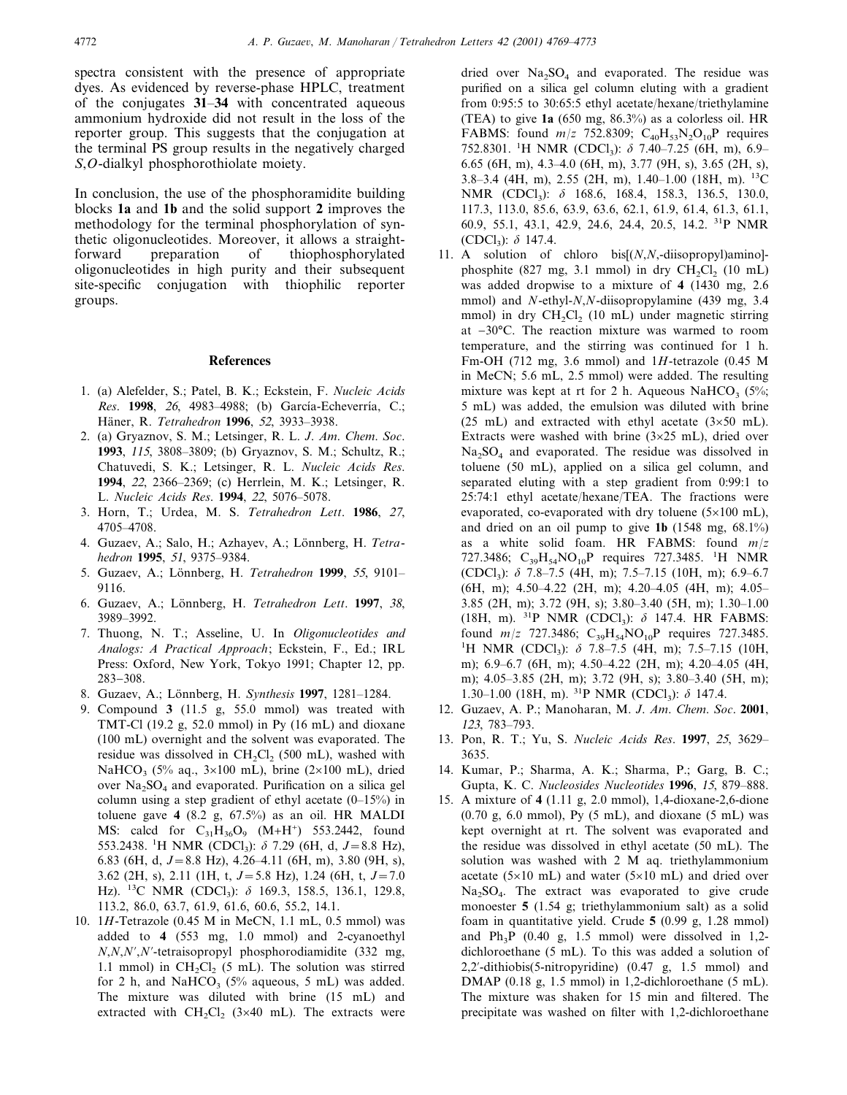spectra consistent with the presence of appropriate dyes. As evidenced by reverse-phase HPLC, treatment of the conjugates **31**–**34** with concentrated aqueous ammonium hydroxide did not result in the loss of the reporter group. This suggests that the conjugation at the terminal PS group results in the negatively charged *S*,*O*-dialkyl phosphorothiolate moiety.

In conclusion, the use of the phosphoramidite building blocks **1a** and **1b** and the solid support **2** improves the methodology for the terminal phosphorylation of synthetic oligonucleotides. Moreover, it allows a straightforward preparation of thiophosphorylated oligonucleotides in high purity and their subsequent site-specific conjugation with thiophilic reporter groups.

## **References**

- 1. (a) Alefelder, S.; Patel, B. K.; Eckstein, F. *Nucleic Acids Res.* **1998**, 26, 4983–4988; (b) García-Echeverría, C.; Ha¨ner, R. *Tetrahedron* **1996**, 52, 3933–3938.
- 2. (a) Gryaznov, S. M.; Letsinger, R. L. *J*. *Am*. *Chem*. *Soc*. **1993**, 115, 3808–3809; (b) Gryaznov, S. M.; Schultz, R.; Chatuvedi, S. K.; Letsinger, R. L. *Nucleic Acids Res*. **1994**, <sup>22</sup>, 2366–2369; (c) Herrlein, M. K.; Letsinger, R. L. *Nucleic Acids Res*. **1994**, <sup>22</sup>, 5076–5078.
- 3. Horn, T.; Urdea, M. S. *Tetrahedron Lett*. **1986**, 27, 4705–4708.
- 4. Guzaev, A.; Salo, H.; Azhayev, A.; Lönnberg, H. *Tetrahedron* **1995**, 51, 9375–9384.
- 5. Guzaev, A.; Lo¨nnberg, H. *Tetrahedron* **1999**, <sup>55</sup>, 9101– 9116.
- 6. Guzaev, A.; Lo¨nnberg, H. *Tetrahedron Lett*. **1997**, 38, 3989–3992.
- 7. Thuong, N. T.; Asseline, U. In *Oligonucleotides and Analogs*: *A Practical Approach*; Eckstein, F., Ed.; IRL Press: Oxford, New York, Tokyo 1991; Chapter 12, pp. 283−308.
- 8. Guzaev, A.; Lo¨nnberg, H. *Synthesis* **1997**, 1281–1284.
- 9. Compound **3** (11.5 g, 55.0 mmol) was treated with TMT-Cl (19.2 g, 52.0 mmol) in Py (16 mL) and dioxane (100 mL) overnight and the solvent was evaporated. The residue was dissolved in  $CH<sub>2</sub>Cl<sub>2</sub>$  (500 mL), washed with NaHCO<sub>3</sub> (5% aq.,  $3\times100$  mL), brine (2×100 mL), dried over  $Na<sub>2</sub>SO<sub>4</sub>$  and evaporated. Purification on a silica gel column using a step gradient of ethyl acetate (0–15%) in toluene gave **4** (8.2 g, 67.5%) as an oil. HR MALDI MS: calcd for  $C_{31}H_{36}O_9$   $(M+H^+)$  553.2442, found 553.2438. <sup>1</sup>H NMR (CDCl<sub>3</sub>):  $\delta$  7.29 (6H, d, J=8.8 Hz), 6.83 (6H, d, *J*=8.8 Hz), 4.26–4.11 (6H, m), 3.80 (9H, s), 3.62 (2H, s), 2.11 (1H, t, *J*=5.8 Hz), 1.24 (6H, t, *J*=7.0 Hz). <sup>13</sup>C NMR (CDCl<sub>3</sub>):  $\delta$  169.3, 158.5, 136.1, 129.8, 113.2, 86.0, 63.7, 61.9, 61.6, 60.6, 55.2, 14.1.
- 10. 1*H*-Tetrazole (0.45 M in MeCN, 1.1 mL, 0.5 mmol) was added to **4** (553 mg, 1.0 mmol) and 2-cyanoethyl *N*,*N*,*N*,*N*-tetraisopropyl phosphorodiamidite (332 mg, 1.1 mmol) in  $CH_2Cl_2$  (5 mL). The solution was stirred for 2 h, and NaHCO<sub>3</sub> (5% aqueous, 5 mL) was added. The mixture was diluted with brine (15 mL) and extracted with  $CH_2Cl_2$  (3×40 mL). The extracts were

dried over  $Na<sub>2</sub>SO<sub>4</sub>$  and evaporated. The residue was purified on a silica gel column eluting with a gradient from 0:95:5 to 30:65:5 ethyl acetate/hexane/triethylamine (TEA) to give **1a** (650 mg, 86.3%) as a colorless oil. HR FABMS: found  $m/z$  752.8309;  $C_{40}H_{53}N_2O_{10}P$  requires 752.8301. <sup>1</sup>H NMR (CDCl<sub>3</sub>):  $\delta$  7.40–7.25 (6H, m), 6.9– 6.65 (6H, m), 4.3–4.0 (6H, m), 3.77 (9H, s), 3.65 (2H, s), 3.8–3.4 (4H, m), 2.55 (2H, m), 1.40–1.00 (18H, m). 13C NMR (CDCl<sub>3</sub>):  $\delta$  168.6, 168.4, 158.3, 136.5, 130.0, 117.3, 113.0, 85.6, 63.9, 63.6, 62.1, 61.9, 61.4, 61.3, 61.1, 60.9, 55.1, 43.1, 42.9, 24.6, 24.4, 20.5, 14.2. 31P NMR (CDCl<sub>3</sub>):  $\delta$  147.4.

- 11. A solution of chloro bis[(*N*,*N*,-diisopropyl)amino] phosphite (827 mg, 3.1 mmol) in dry  $CH_2Cl_2$  (10 mL) was added dropwise to a mixture of **4** (1430 mg, 2.6 mmol) and *N*-ethyl-*N*,*N*-diisopropylamine (439 mg, 3.4 mmol) in dry  $CH_2Cl_2$  (10 mL) under magnetic stirring at −30°C. The reaction mixture was warmed to room temperature, and the stirring was continued for 1 h. Fm-OH (712 mg, 3.6 mmol) and 1*H*-tetrazole (0.45 M in MeCN; 5.6 mL, 2.5 mmol) were added. The resulting mixture was kept at rt for 2 h. Aqueous NaHCO<sub>3</sub> (5%; 5 mL) was added, the emulsion was diluted with brine  $(25 \text{ mL})$  and extracted with ethyl acetate  $(3\times50 \text{ mL})$ . Extracts were washed with brine  $(3\times25 \text{ mL})$ , dried over  $Na<sub>2</sub>SO<sub>4</sub>$  and evaporated. The residue was dissolved in toluene (50 mL), applied on a silica gel column, and separated eluting with a step gradient from 0:99:1 to 25:74:1 ethyl acetate/hexane/TEA. The fractions were evaporated, co-evaporated with dry toluene  $(5\times100 \text{ mL})$ , and dried on an oil pump to give **1b** (1548 mg, 68.1%) as a white solid foam. HR FABMS: found *m*/*z* 727.3486;  $C_{39}H_{54}NO_{10}P$  requires 727.3485. <sup>1</sup>H NMR (CDCl<sub>3</sub>):  $\delta$  7.8–7.5 (4H, m); 7.5–7.15 (10H, m); 6.9–6.7 (6H, m); 4.50–4.22 (2H, m); 4.20–4.05 (4H, m); 4.05– 3.85 (2H, m); 3.72 (9H, s); 3.80–3.40 (5H, m); 1.30–1.00 (18H, m).  $^{31}P$  NMR (CDCl<sub>3</sub>):  $\delta$  147.4. HR FABMS: found  $m/z$  727.3486;  $C_{39}H_{54}NO_{10}P$  requires 727.3485. <sup>1</sup>H NMR (CDCl<sub>3</sub>):  $\delta$  7.8–7.5 (4H, m); 7.5–7.15 (10H, m); 6.9–6.7 (6H, m); 4.50–4.22 (2H, m); 4.20–4.05 (4H, m); 4.05–3.85 (2H, m); 3.72 (9H, s); 3.80–3.40 (5H, m); 1.30–1.00 (18H, m). <sup>31</sup>P NMR (CDCl<sub>3</sub>):  $\delta$  147.4.
- 12. Guzaev, A. P.; Manoharan, M. *J*. *Am*. *Chem*. *Soc*. **2001**, 123, 783–793.
- 13. Pon, R. T.; Yu, S. *Nucleic Acids Res*. **1997**, 25, 3629– 3635.
- 14. Kumar, P.; Sharma, A. K.; Sharma, P.; Garg, B. C.; Gupta, K. C. *Nucleosides Nucleotides* **1996**, 15, 879–888.
- 15. A mixture of **4** (1.11 g, 2.0 mmol), 1,4-dioxane-2,6-dione  $(0.70 \text{ g}, 6.0 \text{ mmol})$ , Py  $(5 \text{ mL})$ , and dioxane  $(5 \text{ mL})$  was kept overnight at rt. The solvent was evaporated and the residue was dissolved in ethyl acetate (50 mL). The solution was washed with 2 M aq. triethylammonium acetate ( $5\times10$  mL) and water ( $5\times10$  mL) and dried over  $Na<sub>2</sub>SO<sub>4</sub>$ . The extract was evaporated to give crude monoester **5** (1.54 g; triethylammonium salt) as a solid foam in quantitative yield. Crude **5** (0.99 g, 1.28 mmol) and  $Ph_3P$  (0.40 g, 1.5 mmol) were dissolved in 1,2dichloroethane (5 mL). To this was added a solution of 2,2-dithiobis(5-nitropyridine) (0.47 g, 1.5 mmol) and DMAP (0.18 g, 1.5 mmol) in 1,2-dichloroethane (5 mL). The mixture was shaken for 15 min and filtered. The . precipitate was washed on filter with 1,2-dichloroethane